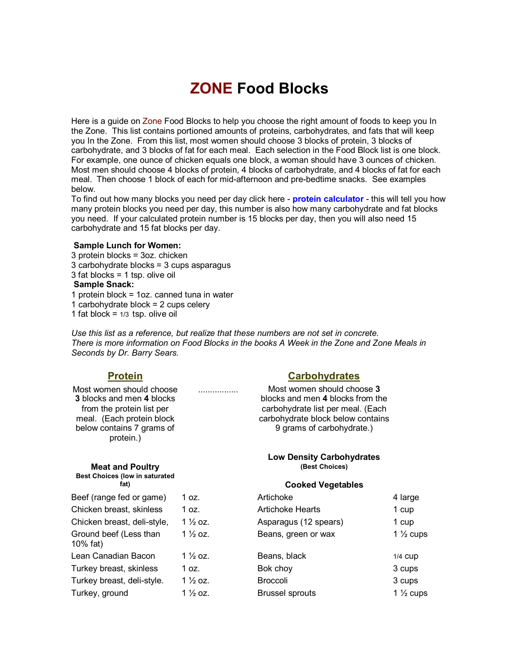# **ZONE Food Blocks**

Here is a guide on Zone Food Blocks to help you choose the right amount of foods to keep you In the Zone. This list contains portioned amounts of proteins, carbohydrates, and fats that will keep you In the Zone. From this list, most women should choose 3 blocks of protein, 3 blocks of carbohydrate, and 3 blocks of fat for each meal. Each selection in the Food Block list is one block. For example, one ounce of chicken equals one block, a woman should have 3 ounces of chicken. Most men should choose 4 blocks of protein, 4 blocks of carbohydrate, and 4 blocks of fat for each meal. Then choose 1 block of each for mid-afternoon and pre-bedtime snacks. See examples below.

To find out how many blocks you need per day click here **protein calculator** this will tell you how many protein blocks you need per day, this number is also how many carbohydrate and fat blocks you need. If your calculated protein number is 15 blocks per day, then you will also need 15 carbohydrate and 15 fat blocks per day.

#### **Sample Lunch for Women:**

 protein blocks = 3oz. chicken carbohydrate blocks = 3 cups asparagus fat blocks = 1 tsp. olive oil **Sample Snack:** protein block = 1oz. canned tuna in water carbohydrate block = 2 cups celery 1 fat block =  $1/3$  tsp. olive oil

*Use this list as a reference, but realize that these numbers are not set in concrete. There is more information on Food Blocks in the books A Week in the Zone and Zone Meals in Seconds by Dr. Barry Sears.*

Most women should choose **3** blocks and men **4** blocks from the protein list per meal. (Each protein block below contains 7 grams of protein.)

**Meat and Poultry Best Choices (low in saturated fat)** 

### **Protein Carbohydrates**

................. Most women should choose **3** blocks and men **4** blocks from the carbohydrate list per meal. (Each carbohydrate block below contains 9 grams of carbohydrate.)

#### **Low Density Carbohydrates (Best Choices)**

#### **Cooked Vegetables**

| Beef (range fed or game)           | 1 oz.               | Artichoke               | 4 large              |
|------------------------------------|---------------------|-------------------------|----------------------|
| Chicken breast, skinless           | 1 oz.               | <b>Artichoke Hearts</b> | 1 cup                |
| Chicken breast, deli-style,        | 1 $\frac{1}{2}$ oz. | Asparagus (12 spears)   | 1 cup                |
| Ground beef (Less than<br>10% fat) | 1 $\frac{1}{2}$ oz. | Beans, green or wax     | 1 $\frac{1}{2}$ cups |
| Lean Canadian Bacon                | 1 $\frac{1}{2}$ oz. | Beans, black            | $1/4$ CUD            |
| Turkey breast, skinless            | 1 oz.               | Bok choy                | 3 cups               |
| Turkey breast, deli-style.         | 1 $\frac{1}{2}$ oz. | <b>Broccoli</b>         | 3 cups               |
| Turkey, ground                     | 1 $\frac{1}{2}$ oz. | <b>Brussel sprouts</b>  | 1 $\frac{1}{2}$ cups |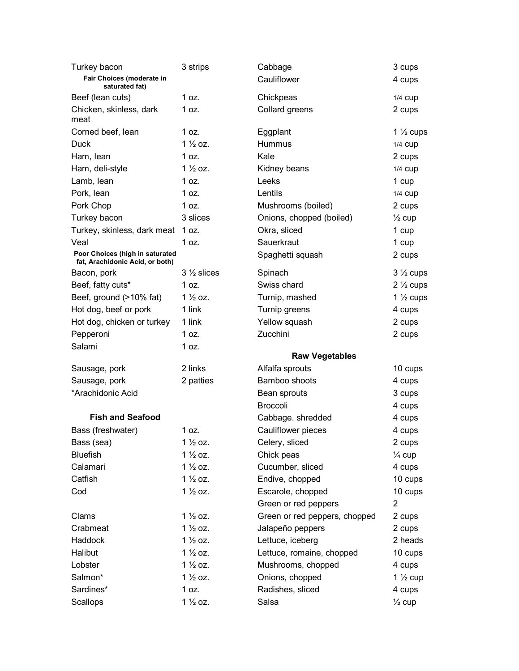| Turkey bacon                                                       | 3 strips                    | Cabbage                                 | 3 cups                      |
|--------------------------------------------------------------------|-----------------------------|-----------------------------------------|-----------------------------|
| Fair Choices (moderate in<br>saturated fat)                        |                             | Cauliflower                             | 4 cups                      |
| Beef (lean cuts)                                                   | 1 oz.                       | Chickpeas                               | 1/4 CUP                     |
| Chicken, skinless, dark<br>meat                                    | 1 oz.                       | Collard greens                          | 2 cups                      |
| Corned beef, lean                                                  | 1 oz.                       | Eggplant                                | 1 $\frac{1}{2}$ cups        |
| <b>Duck</b>                                                        | $1\frac{1}{2}$ oz.          | Hummus                                  | 1/4 CUP                     |
| Ham, lean                                                          | 1 oz.                       | Kale                                    | 2 cups                      |
| Ham, deli-style                                                    | $1\frac{1}{2}$ oz.          | Kidney beans                            | 1/4 CUP                     |
| Lamb, lean                                                         | 1 oz.                       | Leeks                                   | 1 cup                       |
| Pork, lean                                                         | 1 oz.                       | Lentils                                 | 1/4 CUP                     |
| Pork Chop                                                          | 1 oz.                       | Mushrooms (boiled)                      | 2 cups                      |
| Turkey bacon                                                       | 3 slices                    | Onions, chopped (boiled)                | $\frac{1}{2}$ cup           |
| Turkey, skinless, dark meat                                        | 1 oz.                       | Okra, sliced                            | 1 cup                       |
| Veal                                                               | 1 oz.                       | Sauerkraut                              | 1 cup                       |
| Poor Choices (high in saturated<br>fat, Arachidonic Acid, or both) |                             | Spaghetti squash                        | 2 cups                      |
| Bacon, pork                                                        | $3\frac{1}{2}$ slices       | Spinach                                 | $3\frac{1}{2}$ cups         |
| Beef, fatty cuts*                                                  | 1 oz.                       | Swiss chard                             | $2\frac{1}{2}$ cups         |
| Beef, ground (>10% fat)                                            | $1\frac{1}{2}$ oz.          | Turnip, mashed                          | 1 $\frac{1}{2}$ cups        |
| Hot dog, beef or pork                                              | 1 link                      | Turnip greens                           | 4 cups                      |
| Hot dog, chicken or turkey                                         | 1 link                      | Yellow squash                           | 2 cups                      |
| Pepperoni                                                          | 1 oz.                       | Zucchini                                | 2 cups                      |
| Salami                                                             | 1 oz.                       |                                         |                             |
|                                                                    |                             | <b>Raw Vegetables</b>                   |                             |
| Sausage, pork                                                      | 2 links                     | Alfalfa sprouts<br>Bamboo shoots        | 10 cups                     |
| Sausage, pork<br>*Arachidonic Acid                                 | 2 patties                   | Bean sprouts                            | 4 cups<br>3 cups            |
|                                                                    |                             | <b>Broccoli</b>                         |                             |
| <b>Fish and Seafood</b>                                            |                             |                                         | 4 cups                      |
|                                                                    |                             | Cabbage. shredded<br>Cauliflower pieces | 4 cups<br>4 cups            |
| Bass (freshwater)<br>Bass (sea)                                    | 1 oz.<br>$1\frac{1}{2}$ oz. | Celery, sliced                          |                             |
| <b>Bluefish</b>                                                    | $1\frac{1}{2}$ oz.          | Chick peas                              | 2 cups                      |
| Calamari                                                           |                             |                                         | $\frac{1}{4}$ cup           |
| Catfish                                                            |                             |                                         |                             |
|                                                                    | $1\frac{1}{2}$ oz.          | Cucumber, sliced                        | 4 cups                      |
|                                                                    | $1\frac{1}{2}$ oz.          | Endive, chopped                         | 10 cups                     |
| Cod                                                                | $1\frac{1}{2}$ oz.          | Escarole, chopped                       | 10 cups                     |
|                                                                    |                             | Green or red peppers                    | $\overline{2}$              |
| Clams                                                              | $1\frac{1}{2}$ oz.          | Green or red peppers, chopped           | 2 cups                      |
| Crabmeat                                                           | $1\frac{1}{2}$ oz.          | Jalapeño peppers                        | 2 cups                      |
| Haddock                                                            | $1\frac{1}{2}$ oz.          | Lettuce, iceberg                        | 2 heads                     |
| Halibut                                                            | $1\frac{1}{2}$ oz.          | Lettuce, romaine, chopped               | 10 cups                     |
| Lobster                                                            | $1\frac{1}{2}$ oz.          | Mushrooms, chopped                      | 4 cups                      |
| Salmon*                                                            | $1\frac{1}{2}$ oz.          | Onions, chopped                         | 1 $\frac{1}{2}$ cup         |
| Sardines*<br>Scallops                                              | 1 oz.<br>$1\frac{1}{2}$ oz. | Radishes, sliced<br>Salsa               | 4 cups<br>$\frac{1}{2}$ cup |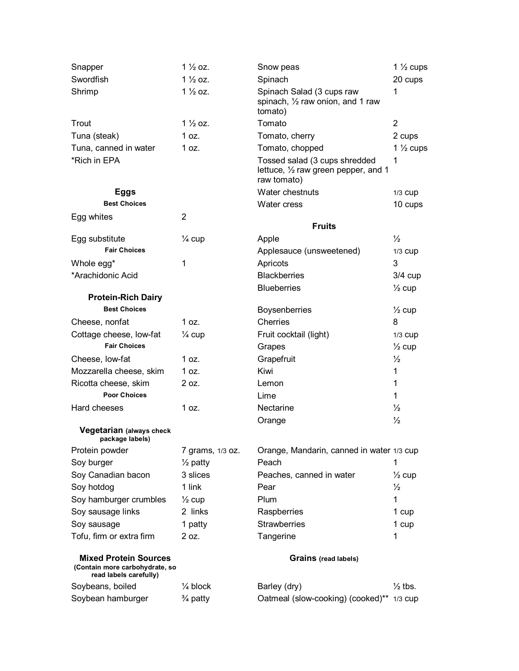| Snapper                                                                                  | $1\frac{1}{2}$ oz.  | Snow peas                                                                            | 1 $\frac{1}{2}$ cups         |
|------------------------------------------------------------------------------------------|---------------------|--------------------------------------------------------------------------------------|------------------------------|
| Swordfish                                                                                | $1\frac{1}{2}$ oz.  | Spinach                                                                              | 20 cups                      |
| Shrimp                                                                                   | $1\frac{1}{2}$ oz.  | Spinach Salad (3 cups raw<br>spinach, 1/2 raw onion, and 1 raw<br>tomato)            | 1                            |
| Trout                                                                                    | $1\frac{1}{2}$ oz.  | Tomato                                                                               | $\overline{2}$               |
| Tuna (steak)                                                                             | 1 oz.               | Tomato, cherry                                                                       | 2 cups                       |
| Tuna, canned in water                                                                    | 1 oz.               | Tomato, chopped                                                                      | 1 $\frac{1}{2}$ cups         |
| *Rich in EPA                                                                             |                     | Tossed salad (3 cups shredded<br>lettuce, 1/2 raw green pepper, and 1<br>raw tomato) | 1                            |
| <b>Eggs</b>                                                                              |                     | Water chestnuts                                                                      | 1/3 CUD                      |
| <b>Best Choices</b>                                                                      |                     | Water cress                                                                          | 10 cups                      |
| Egg whites                                                                               | $\overline{2}$      |                                                                                      |                              |
|                                                                                          |                     | <b>Fruits</b>                                                                        |                              |
| Egg substitute                                                                           | $\frac{1}{4}$ cup   | Apple                                                                                | $\frac{1}{2}$                |
| <b>Fair Choices</b>                                                                      |                     | Applesauce (unsweetened)                                                             | 1/3 CUD                      |
| Whole egg*                                                                               | 1                   | Apricots                                                                             | 3                            |
| *Arachidonic Acid                                                                        |                     | <b>Blackberries</b>                                                                  | $3/4$ cup                    |
|                                                                                          |                     | <b>Blueberries</b>                                                                   | $\frac{1}{2}$ cup            |
| <b>Protein-Rich Dairy</b><br><b>Best Choices</b>                                         |                     |                                                                                      |                              |
|                                                                                          | 1 oz.               | Boysenberries<br>Cherries                                                            | $\frac{1}{2}$ cup<br>8       |
| Cheese, nonfat<br>Cottage cheese, low-fat                                                |                     | Fruit cocktail (light)                                                               |                              |
| <b>Fair Choices</b>                                                                      | $\frac{1}{4}$ cup   | Grapes                                                                               | 1/3 CUP<br>$\frac{1}{2}$ cup |
| Cheese, low-fat                                                                          | 1 oz.               | Grapefruit                                                                           | $\frac{1}{2}$                |
| Mozzarella cheese, skim                                                                  | 1 oz.               | Kiwi                                                                                 | 1                            |
| Ricotta cheese, skim                                                                     | 2 oz.               | Lemon                                                                                | 1                            |
| <b>Poor Choices</b>                                                                      |                     | Lime                                                                                 | 1                            |
| Hard cheeses                                                                             | 1 oz.               | Nectarine                                                                            | $\frac{1}{2}$                |
|                                                                                          |                     | Orange                                                                               | $\frac{1}{2}$                |
| Vegetarian (always check<br>package labels)                                              |                     |                                                                                      |                              |
| Protein powder                                                                           | 7 grams, 1/3 oz.    | Orange, Mandarin, canned in water 1/3 cup                                            |                              |
| Soy burger                                                                               | $\frac{1}{2}$ patty | Peach                                                                                | 1                            |
| Soy Canadian bacon                                                                       | 3 slices            | Peaches, canned in water                                                             | $\frac{1}{2}$ cup            |
| Soy hotdog                                                                               | 1 link              | Pear                                                                                 | $\frac{1}{2}$                |
| Soy hamburger crumbles                                                                   | $\frac{1}{2}$ cup   | Plum                                                                                 | 1                            |
| Soy sausage links                                                                        | 2 links             | Raspberries                                                                          | 1 cup                        |
| Soy sausage                                                                              | 1 patty             | <b>Strawberries</b>                                                                  | 1 cup                        |
| Tofu, firm or extra firm                                                                 | 2 oz.               | Tangerine                                                                            | 1                            |
| <b>Mixed Protein Sources</b><br>(Contain more carbohydrate, so<br>read labels carefully) |                     | <b>Grains (read labels)</b>                                                          |                              |
| Soybeans, boiled                                                                         | $\frac{1}{4}$ block | Barley (dry)                                                                         | $\frac{1}{2}$ tbs.           |
| Soybean hamburger                                                                        | $\frac{3}{4}$ patty | Oatmeal (slow-cooking) (cooked)** 1/3 cup                                            |                              |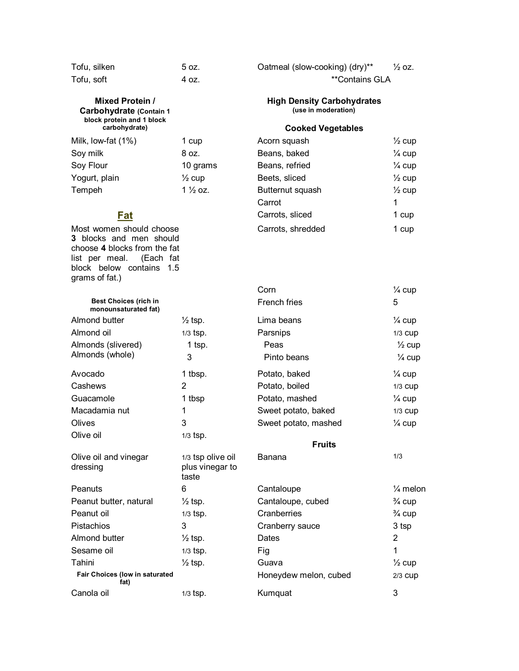| Tofu, silken |  |
|--------------|--|
| Tofu, soft   |  |

#### **Mixed Protein / Carbohydrate (Contain 1 block protein and 1 block carbohydrate)**

| 1 cup              |
|--------------------|
| 8 oz.              |
| 10 grams           |
| $\frac{1}{2}$ cup  |
| $1\frac{1}{2}$ oz. |
|                    |

Most women should choose **3** blocks and men should choose **4** blocks from the fat list per meal. (Each fat block below contains 1.5 grams of fat.)

| Tofu, silken | 5 oz. | Oatmeal (slow-cooking) (dry)** | $\frac{1}{2}$ oz. |
|--------------|-------|--------------------------------|-------------------|
| Tofu, soft   | 4 oz. | <i>**</i> Contains GLA         |                   |

### **High Density Carbohydrates (use in moderation)**

### **Cooked Vegetables**

| Milk, low-fat (1%)       | 1 cup              | Acorn squash      | $\frac{1}{2}$ cup |
|--------------------------|--------------------|-------------------|-------------------|
| Soy milk                 | 8 oz.              | Beans, baked      | $\frac{1}{4}$ cup |
| Soy Flour                | 10 grams           | Beans, refried    | $\frac{1}{4}$ cup |
| Yogurt, plain            | $\frac{1}{2}$ cup  | Beets, sliced     | $\frac{1}{2}$ cup |
| Tempeh                   | $1\frac{1}{2}$ oz. | Butternut squash  | $\frac{1}{2}$ cup |
|                          |                    | Carrot            |                   |
| Fat                      |                    | Carrots, sliced   | 1 cup             |
| Most women should choose |                    | Carrots, shredded | 1 cup             |

|                                                      |                                               | Corn                  | $\frac{1}{4}$ cup   |
|------------------------------------------------------|-----------------------------------------------|-----------------------|---------------------|
| <b>Best Choices (rich in</b><br>monounsaturated fat) |                                               | French fries          | 5                   |
| Almond butter                                        | $\frac{1}{2}$ tsp.                            | Lima beans            | $\frac{1}{4}$ cup   |
| Almond oil                                           | $1/3$ tsp.                                    | Parsnips              | $1/3$ CUD           |
| Almonds (slivered)                                   | $1$ tsp.                                      | Peas                  | $\frac{1}{2}$ cup   |
| Almonds (whole)                                      | 3                                             | Pinto beans           | $\frac{1}{4}$ cup   |
| Avocado                                              | 1 tbsp.                                       | Potato, baked         | $\frac{1}{4}$ cup   |
| Cashews                                              | 2                                             | Potato, boiled        | $1/3$ CUD           |
| Guacamole                                            | 1 tbsp                                        | Potato, mashed        | $\frac{1}{4}$ cup   |
| Macadamia nut                                        | 1                                             | Sweet potato, baked   | 1/3 CUD             |
| Olives                                               | 3                                             | Sweet potato, mashed  | $\frac{1}{4}$ cup   |
| Olive oil                                            | $1/3$ tsp.                                    |                       |                     |
|                                                      |                                               | <b>Fruits</b>         |                     |
| Olive oil and vinegar<br>dressing                    | 1/3 tsp olive oil<br>plus vinegar to<br>taste | Banana                | 1/3                 |
| Peanuts                                              | 6                                             | Cantaloupe            | $\frac{1}{4}$ melon |
| Peanut butter, natural                               | $\frac{1}{2}$ tsp.                            | Cantaloupe, cubed     | $\frac{3}{4}$ cup   |
| Peanut oil                                           | $1/3$ tsp.                                    | Cranberries           | $\frac{3}{4}$ cup   |
| Pistachios                                           | 3                                             | Cranberry sauce       | 3 tsp               |
| Almond butter                                        | $\frac{1}{2}$ tsp.                            | Dates                 | 2                   |
| Sesame oil                                           | $1/3$ tsp.                                    | Fig                   | 1                   |
| Tahini                                               | $\frac{1}{2}$ tsp.                            | Guava                 | $\frac{1}{2}$ cup   |
| Fair Choices (low in saturated<br>fat)               |                                               | Honeydew melon, cubed | 2/3 CUP             |
| Canola oil                                           | $1/3$ tsp.                                    | Kumquat               | 3                   |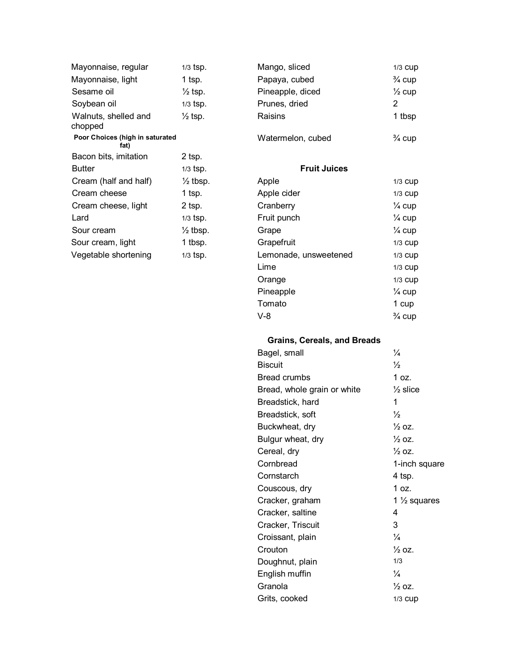| Mayonnaise, regular                     | 1/3 tsp.            |
|-----------------------------------------|---------------------|
| Mayonnaise, light                       | 1 tsp.              |
| Sesame oil                              | $\frac{1}{2}$ tsp.  |
| Soybean oil                             | 1/3 tsp.            |
| Walnuts, shelled and<br>chopped         | $\frac{1}{2}$ tsp.  |
| Poor Choices (high in saturated<br>fat) |                     |
| Bacon bits, imitation                   | 2 tsp.              |
| <b>Butter</b>                           | 1/3 tsp.            |
| Cream (half and half)                   | ½ tbsp.             |
| Cream cheese                            | 1 tsp.              |
| Cream cheese, light                     | 2 tsp.              |
| Lard                                    | 1/3 tsp.            |
| Sour cream                              | $\frac{1}{2}$ tbsp. |
| Sour cream, light                       | 1 tbsp.             |
| Vegetable shortening                    | 1/3 tsp.            |

| Mayonnaise, regular                     | $1/3$ tsp.         | Mango, sliced     | $1/3$ CUD         |
|-----------------------------------------|--------------------|-------------------|-------------------|
| Mayonnaise, light                       | 1 tsp.             | Papaya, cubed     | $\frac{3}{4}$ cup |
| Sesame oil                              | $\frac{1}{2}$ tsp. | Pineapple, diced  | $\frac{1}{2}$ cup |
| Soybean oil                             | $1/3$ tsp.         | Prunes, dried     | 2                 |
| Walnuts, shelled and<br>chopped         | $\frac{1}{2}$ tsp. | Raisins           | 1 tbsp            |
| Poor Choices (high in saturated<br>fot) |                    | Watermelon, cubed | $\frac{3}{4}$ cup |

## **Fruit Juices**

| Cream (half and half) | $\frac{1}{2}$ tbsp. | Apple                 | 1/3 CUD           |
|-----------------------|---------------------|-----------------------|-------------------|
| Cream cheese          | 1 tsp.              | Apple cider           | $1/3$ CUD         |
| Cream cheese, light   | $2$ tsp.            | Cranberry             | $\frac{1}{4}$ cup |
| Lard                  | $1/3$ tsp.          | Fruit punch           | $\frac{1}{4}$ cup |
| Sour cream            | $\frac{1}{2}$ tbsp. | Grape                 | $\frac{1}{4}$ cup |
| Sour cream, light     | 1 tbsp.             | Grapefruit            | 1/3 CUD           |
| Vegetable shortening  | $1/3$ tsp.          | Lemonade, unsweetened | $1/3$ CUD         |
|                       |                     | Lime                  | $1/3$ CUD         |
|                       |                     | Orange                | 1/3 CUD           |
|                       |                     | Pineapple             | $\frac{1}{4}$ cup |
|                       |                     | Tomato                | 1 cup             |
|                       |                     | $V-8$                 | $\frac{3}{4}$ cup |

# **Grains, Cereals, and Breads**

| Bagel, small                | $\frac{1}{4}$           |
|-----------------------------|-------------------------|
| <b>Biscuit</b>              | $\frac{1}{2}$           |
| <b>Bread crumbs</b>         | 1 oz.                   |
| Bread, whole grain or white | $\frac{1}{2}$ slice     |
| Breadstick, hard            | 1                       |
| Breadstick, soft            | $\frac{1}{2}$           |
| Buckwheat, dry              | $\frac{1}{2}$ OZ.       |
| Bulgur wheat, dry           | $\frac{1}{2}$ OZ.       |
| Cereal, dry                 | $\frac{1}{2}$ 0.7.      |
| Cornbread                   | 1-inch square           |
| Cornstarch                  | 4 tsp.                  |
| Couscous, dry               | 1 oz.                   |
| Cracker, graham             | 1 $\frac{1}{2}$ squares |
| Cracker, saltine            | 4                       |
| Cracker, Triscuit           | 3                       |
| Croissant, plain            | $\frac{1}{4}$           |
| Crouton                     | $\frac{1}{2}$ 0.7.      |
| Doughnut, plain             | 1/3                     |
| English muffin              | $\frac{1}{4}$           |
| Granola                     | $\frac{1}{2}$ oz.       |
| Grits, cooked               | $1/3$ CUD               |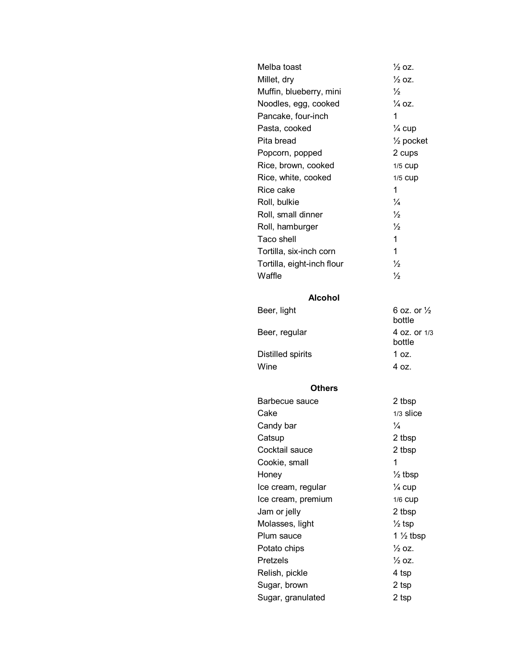| Melba toast                | $\frac{1}{2}$ oz.                |
|----------------------------|----------------------------------|
| Millet, dry                | $\frac{1}{2}$ oz.                |
| Muffin, blueberry, mini    | $\frac{1}{2}$                    |
| Noodles, egg, cooked       | $\frac{1}{4}$ OZ.                |
| Pancake, four-inch         | 1                                |
| Pasta, cooked              | $\frac{1}{4}$ cup                |
| Pita bread                 | $\frac{1}{2}$ pocket             |
| Popcorn, popped            | 2 cups                           |
| Rice, brown, cooked        | 1/5 CUP                          |
| Rice, white, cooked        | 1/5 CUP                          |
| Rice cake                  | 1                                |
| Roll, bulkie               | $\frac{1}{4}$                    |
| Roll, small dinner         | $\frac{1}{2}$                    |
| Roll, hamburger            | $\frac{1}{2}$                    |
| Taco shell                 | 1                                |
| Tortilla, six-inch corn    | 1                                |
| Tortilla, eight-inch flour | $\frac{1}{2}$                    |
| Waffle                     | $\frac{1}{2}$                    |
|                            |                                  |
| <b>Alcohol</b>             |                                  |
| Beer, light                | 6 oz. or $\frac{1}{2}$<br>bottle |
| Beer, regular              | 4 oz. or 1/3<br>bottle           |
| Distilled spirits          | 1 oz.                            |
| Wine                       | 4 oz.                            |
| <b>Others</b>              |                                  |
| Barbecue sauce             | 2 tbsp                           |
| Cake                       | 1/3 slice                        |
| Candy bar                  | $\frac{1}{4}$                    |
| Catsup                     | 2 tbsp                           |
| Cocktail sauce             | 2 tbsp                           |
| Cookie, small              | 1                                |
| Honey                      | $\frac{1}{2}$ tbsp               |
| Ice cream, regular         | $\frac{1}{4}$ cup                |
| Ice cream, premium         | 1/6 CUD                          |
| Jam or jelly               | 2 tbsp                           |
| Molasses, light            | $\frac{1}{2}$ tsp                |
| Plum sauce                 | 1 $\frac{1}{2}$ tbsp             |
| Potato chips               | $\frac{1}{2}$ oz.                |
| Pretzels                   | ½ oz.                            |
| Relish, pickle             | 4 tsp                            |
| Sugar, brown               | 2 tsp                            |
| Sugar, granulated          | 2 tsp                            |